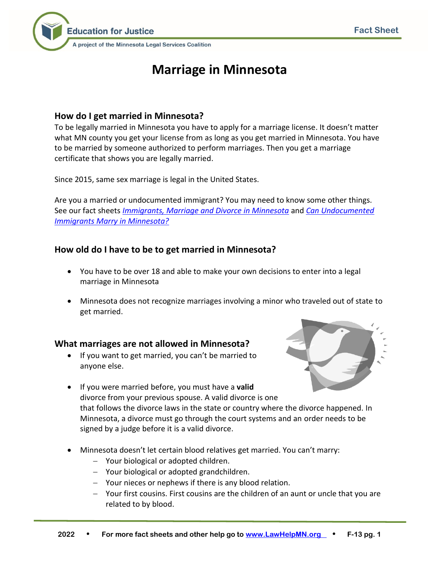

# **Marriage in Minnesota**

### **How do I get married in Minnesota?**

To be legally married in Minnesota you have to apply for a marriage license. It doesn't matter what MN county you get your license from as long as you get married in Minnesota. You have to be married by someone authorized to perform marriages. Then you get a marriage certificate that shows you are legally married.

Since 2015, same sex marriage is legal in the United States.

Are you a married or undocumented immigrant? You may need to know some other things. See our fact sheets *[Immigrants, Marriage and Divorce in Minnesota](http://www.lawhelpmn.org/self-help-library/fact-sheet/immigrants-marriage-and-divorce-minnesota)* and *[Can Undocumented](http://www.lawhelpmn.org/self-help-library/fact-sheet/can-undocumented-immigrants-marry-minnesota)  [Immigrants Marry in Minnesota?](http://www.lawhelpmn.org/self-help-library/fact-sheet/can-undocumented-immigrants-marry-minnesota)*

## **How old do I have to be to get married in Minnesota?**

- You have to be over 18 and able to make your own decisions to enter into a legal marriage in Minnesota
- Minnesota does not recognize marriages involving a minor who traveled out of state to get married.

#### **What marriages are not allowed in Minnesota?**

• If you want to get married, you can't be married to anyone else.



- If you were married before, you must have a **valid** divorce from your previous spouse. A valid divorce is one that follows the divorce laws in the state or country where the divorce happened. In Minnesota, a divorce must go through the court systems and an order needs to be signed by a judge before it is a valid divorce.
- Minnesota doesn't let certain blood relatives get married. You can't marry:
	- − Your biological or adopted children.
	- − Your biological or adopted grandchildren.
	- − Your nieces or nephews if there is any blood relation.
	- − Your first cousins. First cousins are the children of an aunt or uncle that you are related to by blood.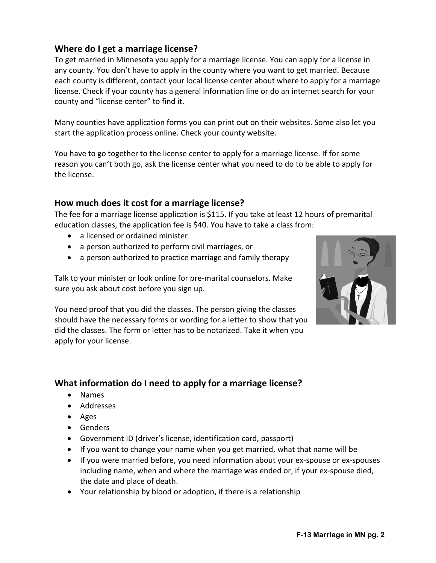## **Where do I get a marriage license?**

To get married in Minnesota you apply for a marriage license. You can apply for a license in any county. You don't have to apply in the county where you want to get married. Because each county is different, contact your local license center about where to apply for a marriage license. Check if your county has a general information line or do an internet search for your county and "license center" to find it.

Many counties have application forms you can print out on their websites. Some also let you start the application process online. Check your county website.

You have to go together to the license center to apply for a marriage license. If for some reason you can't both go, ask the license center what you need to do to be able to apply for the license.

## **How much does it cost for a marriage license?**

The fee for a marriage license application is \$115. If you take at least 12 hours of premarital education classes, the application fee is \$40. You have to take a class from:

- a licensed or ordained minister
- a person authorized to perform civil marriages, or
- a person authorized to practice marriage and family therapy

Talk to your minister or look online for pre-marital counselors. Make sure you ask about cost before you sign up.

You need proof that you did the classes. The person giving the classes should have the necessary forms or wording for a letter to show that you did the classes. The form or letter has to be notarized. Take it when you apply for your license.

# **What information do I need to apply for a marriage license?**

- Names
- Addresses
- Ages
- Genders
- Government ID (driver's license, identification card, passport)
- If you want to change your name when you get married, what that name will be
- If you were married before, you need information about your ex-spouse or ex-spouses including name, when and where the marriage was ended or, if your ex-spouse died, the date and place of death.
- Your relationship by blood or adoption, if there is a relationship

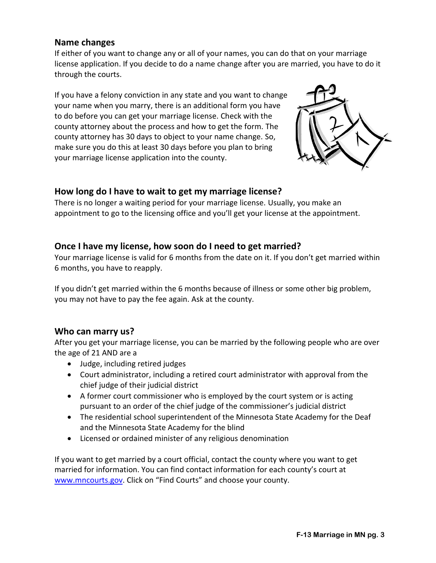### **Name changes**

If either of you want to change any or all of your names, you can do that on your marriage license application. If you decide to do a name change after you are married, you have to do it through the courts.

If you have a felony conviction in any state and you want to change your name when you marry, there is an additional form you have to do before you can get your marriage license. Check with the county attorney about the process and how to get the form. The county attorney has 30 days to object to your name change. So, make sure you do this at least 30 days before you plan to bring your marriage license application into the county.



## **How long do I have to wait to get my marriage license?**

There is no longer a waiting period for your marriage license. Usually, you make an appointment to go to the licensing office and you'll get your license at the appointment.

## **Once I have my license, how soon do I need to get married?**

Your marriage license is valid for 6 months from the date on it. If you don't get married within 6 months, you have to reapply.

If you didn't get married within the 6 months because of illness or some other big problem, you may not have to pay the fee again. Ask at the county.

## **Who can marry us?**

After you get your marriage license, you can be married by the following people who are over the age of 21 AND are a

- Judge, including retired judges
- Court administrator, including a retired court administrator with approval from the chief judge of their judicial district
- A former court commissioner who is employed by the court system or is acting pursuant to an order of the chief judge of the commissioner's judicial district
- The residential school superintendent of the Minnesota State Academy for the Deaf and the Minnesota State Academy for the blind
- Licensed or ordained minister of any religious denomination

If you want to get married by a court official, contact the county where you want to get married for information. You can find contact information for each county's court at [www.mncourts.gov.](http://www.mncourts.gov/) Click on "Find Courts" and choose your county.